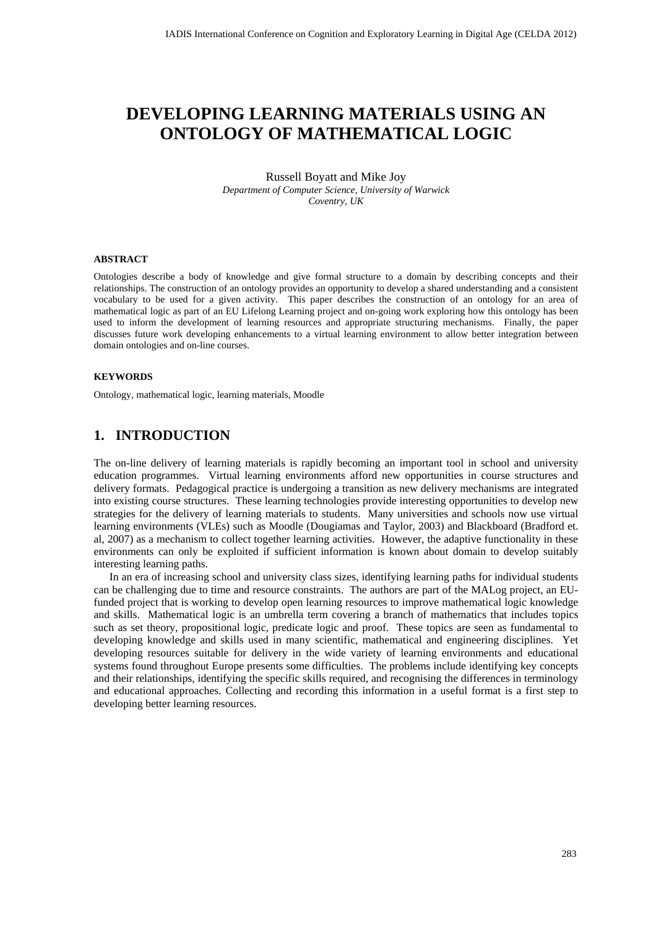# **DEVELOPING LEARNING MATERIALS USING AN ONTOLOGY OF MATHEMATICAL LOGIC**

#### Russell Boyatt and Mike Joy *Department of Computer Science, University of Warwick Coventry, UK*

#### **ABSTRACT**

Ontologies describe a body of knowledge and give formal structure to a domain by describing concepts and their relationships. The construction of an ontology provides an opportunity to develop a shared understanding and a consistent vocabulary to be used for a given activity. This paper describes the construction of an ontology for an area of mathematical logic as part of an EU Lifelong Learning project and on-going work exploring how this ontology has been used to inform the development of learning resources and appropriate structuring mechanisms. Finally, the paper discusses future work developing enhancements to a virtual learning environment to allow better integration between domain ontologies and on-line courses.

#### **KEYWORDS**

Ontology, mathematical logic, learning materials, Moodle

#### **1. INTRODUCTION**

The on-line delivery of learning materials is rapidly becoming an important tool in school and university education programmes. Virtual learning environments afford new opportunities in course structures and delivery formats. Pedagogical practice is undergoing a transition as new delivery mechanisms are integrated into existing course structures. These learning technologies provide interesting opportunities to develop new strategies for the delivery of learning materials to students. Many universities and schools now use virtual learning environments (VLEs) such as Moodle (Dougiamas and Taylor, 2003) and Blackboard (Bradford et. al, 2007) as a mechanism to collect together learning activities. However, the adaptive functionality in these environments can only be exploited if sufficient information is known about domain to develop suitably interesting learning paths.

In an era of increasing school and university class sizes, identifying learning paths for individual students can be challenging due to time and resource constraints. The authors are part of the MALog project, an EUfunded project that is working to develop open learning resources to improve mathematical logic knowledge and skills. Mathematical logic is an umbrella term covering a branch of mathematics that includes topics such as set theory, propositional logic, predicate logic and proof. These topics are seen as fundamental to developing knowledge and skills used in many scientific, mathematical and engineering disciplines. Yet developing resources suitable for delivery in the wide variety of learning environments and educational systems found throughout Europe presents some difficulties. The problems include identifying key concepts and their relationships, identifying the specific skills required, and recognising the differences in terminology and educational approaches. Collecting and recording this information in a useful format is a first step to developing better learning resources.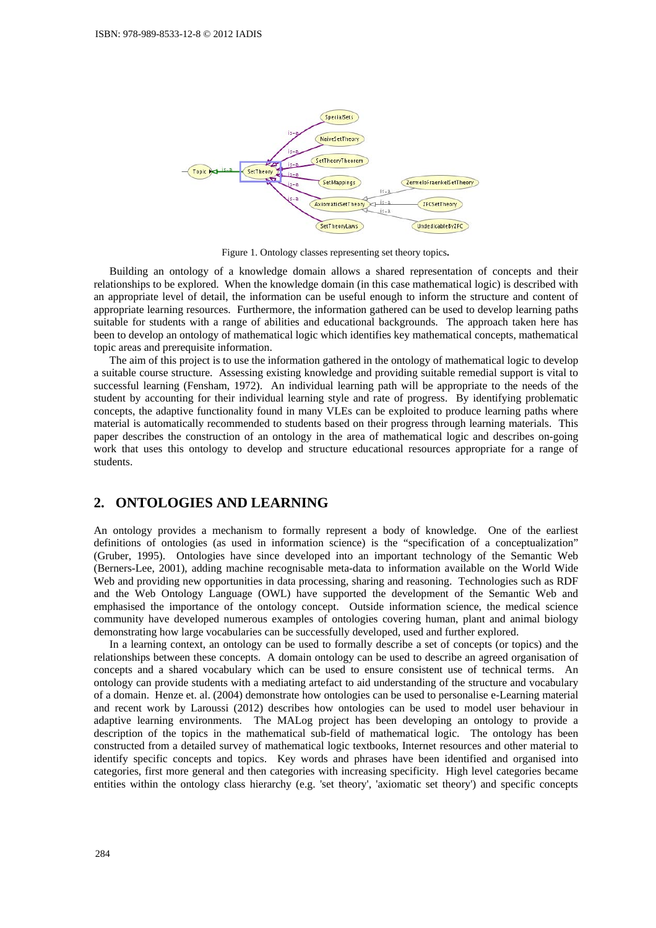

Figure 1. Ontology classes representing set theory topics*.*

Building an ontology of a knowledge domain allows a shared representation of concepts and their relationships to be explored. When the knowledge domain (in this case mathematical logic) is described with an appropriate level of detail, the information can be useful enough to inform the structure and content of appropriate learning resources. Furthermore, the information gathered can be used to develop learning paths suitable for students with a range of abilities and educational backgrounds. The approach taken here has been to develop an ontology of mathematical logic which identifies key mathematical concepts, mathematical topic areas and prerequisite information.

The aim of this project is to use the information gathered in the ontology of mathematical logic to develop a suitable course structure. Assessing existing knowledge and providing suitable remedial support is vital to successful learning (Fensham, 1972). An individual learning path will be appropriate to the needs of the student by accounting for their individual learning style and rate of progress. By identifying problematic concepts, the adaptive functionality found in many VLEs can be exploited to produce learning paths where material is automatically recommended to students based on their progress through learning materials. This paper describes the construction of an ontology in the area of mathematical logic and describes on-going work that uses this ontology to develop and structure educational resources appropriate for a range of students.

## **2. ONTOLOGIES AND LEARNING**

An ontology provides a mechanism to formally represent a body of knowledge. One of the earliest definitions of ontologies (as used in information science) is the "specification of a conceptualization" (Gruber, 1995). Ontologies have since developed into an important technology of the Semantic Web (Berners-Lee, 2001), adding machine recognisable meta-data to information available on the World Wide Web and providing new opportunities in data processing, sharing and reasoning. Technologies such as RDF and the Web Ontology Language (OWL) have supported the development of the Semantic Web and emphasised the importance of the ontology concept. Outside information science, the medical science community have developed numerous examples of ontologies covering human, plant and animal biology demonstrating how large vocabularies can be successfully developed, used and further explored.

In a learning context, an ontology can be used to formally describe a set of concepts (or topics) and the relationships between these concepts. A domain ontology can be used to describe an agreed organisation of concepts and a shared vocabulary which can be used to ensure consistent use of technical terms. An ontology can provide students with a mediating artefact to aid understanding of the structure and vocabulary of a domain. Henze et. al. (2004) demonstrate how ontologies can be used to personalise e-Learning material and recent work by Laroussi (2012) describes how ontologies can be used to model user behaviour in adaptive learning environments. The MALog project has been developing an ontology to provide a description of the topics in the mathematical sub-field of mathematical logic. The ontology has been constructed from a detailed survey of mathematical logic textbooks, Internet resources and other material to identify specific concepts and topics. Key words and phrases have been identified and organised into categories, first more general and then categories with increasing specificity. High level categories became entities within the ontology class hierarchy (e.g. 'set theory', 'axiomatic set theory') and specific concepts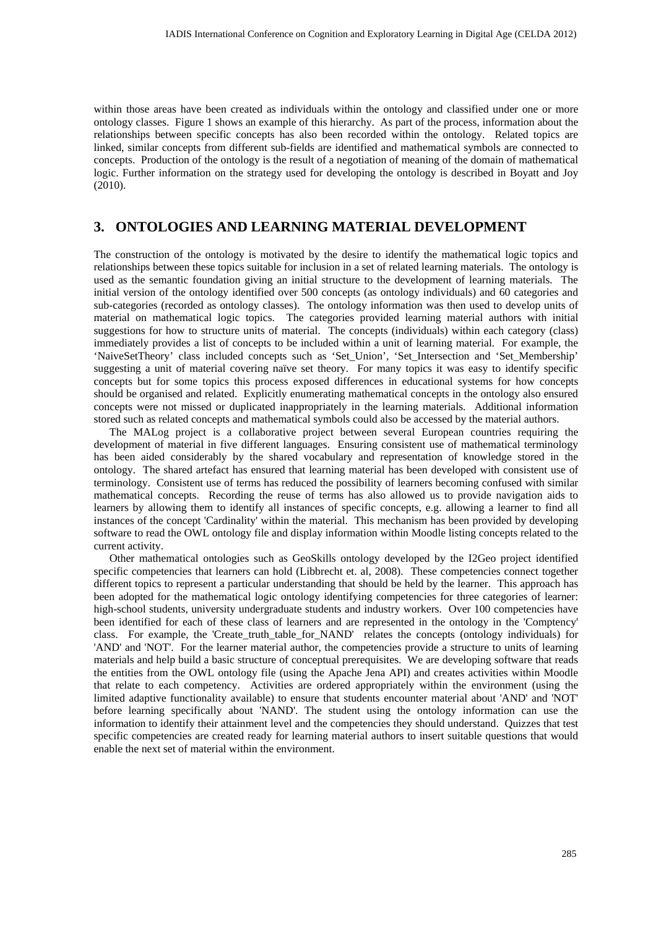within those areas have been created as individuals within the ontology and classified under one or more ontology classes. Figure 1 shows an example of this hierarchy. As part of the process, information about the relationships between specific concepts has also been recorded within the ontology. Related topics are linked, similar concepts from different sub-fields are identified and mathematical symbols are connected to concepts. Production of the ontology is the result of a negotiation of meaning of the domain of mathematical logic. Further information on the strategy used for developing the ontology is described in Boyatt and Joy (2010).

# **3. ONTOLOGIES AND LEARNING MATERIAL DEVELOPMENT**

The construction of the ontology is motivated by the desire to identify the mathematical logic topics and relationships between these topics suitable for inclusion in a set of related learning materials. The ontology is used as the semantic foundation giving an initial structure to the development of learning materials. The initial version of the ontology identified over 500 concepts (as ontology individuals) and 60 categories and sub-categories (recorded as ontology classes). The ontology information was then used to develop units of material on mathematical logic topics. The categories provided learning material authors with initial suggestions for how to structure units of material. The concepts (individuals) within each category (class) immediately provides a list of concepts to be included within a unit of learning material. For example, the 'NaiveSetTheory' class included concepts such as 'Set\_Union', 'Set\_Intersection and 'Set\_Membership' suggesting a unit of material covering naïve set theory. For many topics it was easy to identify specific concepts but for some topics this process exposed differences in educational systems for how concepts should be organised and related. Explicitly enumerating mathematical concepts in the ontology also ensured concepts were not missed or duplicated inappropriately in the learning materials. Additional information stored such as related concepts and mathematical symbols could also be accessed by the material authors.

The MALog project is a collaborative project between several European countries requiring the development of material in five different languages. Ensuring consistent use of mathematical terminology has been aided considerably by the shared vocabulary and representation of knowledge stored in the ontology. The shared artefact has ensured that learning material has been developed with consistent use of terminology. Consistent use of terms has reduced the possibility of learners becoming confused with similar mathematical concepts. Recording the reuse of terms has also allowed us to provide navigation aids to learners by allowing them to identify all instances of specific concepts, e.g. allowing a learner to find all instances of the concept 'Cardinality' within the material. This mechanism has been provided by developing software to read the OWL ontology file and display information within Moodle listing concepts related to the current activity.

Other mathematical ontologies such as GeoSkills ontology developed by the I2Geo project identified specific competencies that learners can hold (Libbrecht et. al, 2008). These competencies connect together different topics to represent a particular understanding that should be held by the learner. This approach has been adopted for the mathematical logic ontology identifying competencies for three categories of learner: high-school students, university undergraduate students and industry workers. Over 100 competencies have been identified for each of these class of learners and are represented in the ontology in the 'Comptency' class. For example, the 'Create\_truth\_table\_for\_NAND' relates the concepts (ontology individuals) for 'AND' and 'NOT'. For the learner material author, the competencies provide a structure to units of learning materials and help build a basic structure of conceptual prerequisites. We are developing software that reads the entities from the OWL ontology file (using the Apache Jena API) and creates activities within Moodle that relate to each competency. Activities are ordered appropriately within the environment (using the limited adaptive functionality available) to ensure that students encounter material about 'AND' and 'NOT' before learning specifically about 'NAND'. The student using the ontology information can use the information to identify their attainment level and the competencies they should understand. Quizzes that test specific competencies are created ready for learning material authors to insert suitable questions that would enable the next set of material within the environment.